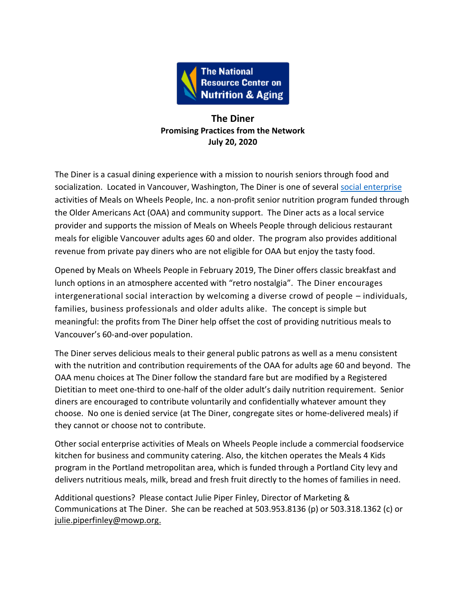

## **The Diner Promising Practices from the Network July 20, 2020**

The Diner is a casual dining experience with a mission to nourish seniors through food and socialization. Located in Vancouver, Washington, The Diner is one of several [social enterprise](https://acl.gov/sites/default/files/programs/2017-03/Social-Enterprise-PowerPoint.pdf) activities of Meals on Wheels People, Inc. a non-profit senior nutrition program funded through the Older Americans Act (OAA) and community support. The Diner acts as a local service provider and supports the mission of Meals on Wheels People through delicious restaurant meals for eligible Vancouver adults ages 60 and older. The program also provides additional revenue from private pay diners who are not eligible for OAA but enjoy the tasty food.

Opened by Meals on Wheels People in February 2019, The Diner offers classic breakfast and lunch options in an atmosphere accented with "retro nostalgia". The Diner encourages intergenerational social interaction by welcoming a diverse crowd of people – individuals, families, business professionals and older adults alike. The concept is simple but meaningful: the profits from The Diner help offset the cost of providing nutritious meals to Vancouver's 60-and-over population.

The Diner serves delicious meals to their general public patrons as well as a menu consistent with the nutrition and contribution requirements of the OAA for adults age 60 and beyond. The OAA menu choices at The Diner follow the standard fare but are modified by a Registered Dietitian to meet one-third to one-half of the older adult's daily nutrition requirement. Senior diners are encouraged to contribute voluntarily and confidentially whatever amount they choose. No one is denied service (at The Diner, congregate sites or home-delivered meals) if they cannot or choose not to contribute.

Other social enterprise activities of Meals on Wheels People include a commercial foodservice kitchen for business and community catering. Also, the kitchen operates the Meals 4 Kids program in the Portland metropolitan area, which is funded through a Portland City levy and delivers nutritious meals, milk, bread and fresh fruit directly to the homes of families in need.

Additional questions? Please contact Julie Piper Finley, Director of Marketing & Communications at The Diner. She can be reached at 503.953.8136 (p) or 503.318.1362 (c) or [julie.piperfinley@mowp.org.](mailto:julie.piperfinley@mowp.org)